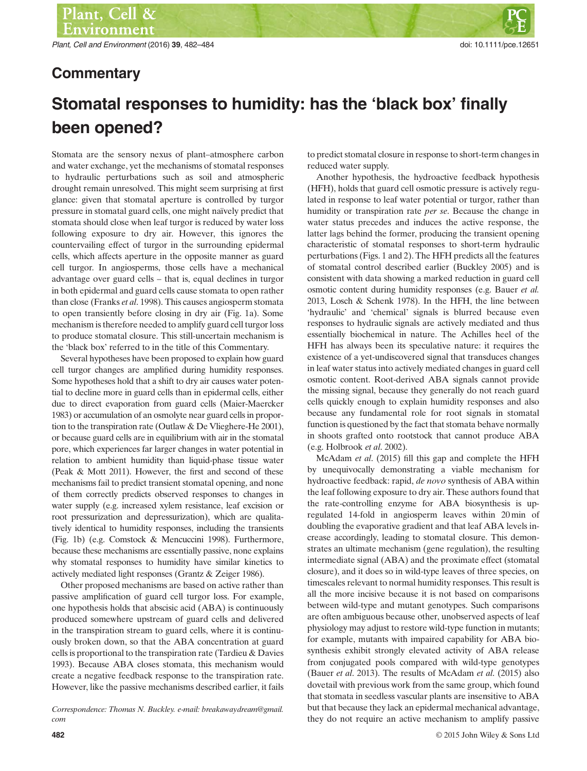Plant, Cell and Environment (2016) 39, 482–484 doi: 10.1111/pce.12651

## **Commentary**

# Stomatal responses to humidity: has the 'black box' finally been opened?

Stomata are the sensory nexus of plant–atmosphere carbon and water exchange, yet the mechanisms of stomatal responses to hydraulic perturbations such as soil and atmospheric drought remain unresolved. This might seem surprising at first glance: given that stomatal aperture is controlled by turgor pressure in stomatal guard cells, one might naïvely predict that stomata should close when leaf turgor is reduced by water loss following exposure to dry air. However, this ignores the countervailing effect of turgor in the surrounding epidermal cells, which affects aperture in the opposite manner as guard cell turgor. In angiosperms, those cells have a mechanical advantage over guard cells – that is, equal declines in turgor in both epidermal and guard cells cause stomata to open rather than close (Franks et al. 1998). This causes angiosperm stomata to open transiently before closing in dry air (Fig. 1a). Some mechanism is therefore needed to amplify guard cell turgor loss to produce stomatal closure. This still-uncertain mechanism is the 'black box' referred to in the title of this Commentary.

Several hypotheses have been proposed to explain how guard cell turgor changes are amplified during humidity responses. Some hypotheses hold that a shift to dry air causes water potential to decline more in guard cells than in epidermal cells, either due to direct evaporation from guard cells (Maier-Maercker 1983) or accumulation of an osmolyte near guard cells in proportion to the transpiration rate (Outlaw & De Vlieghere-He 2001), or because guard cells are in equilibrium with air in the stomatal pore, which experiences far larger changes in water potential in relation to ambient humidity than liquid-phase tissue water (Peak & Mott 2011). However, the first and second of these mechanisms fail to predict transient stomatal opening, and none of them correctly predicts observed responses to changes in water supply (e.g. increased xylem resistance, leaf excision or root pressurization and depressurization), which are qualitatively identical to humidity responses, including the transients (Fig. 1b) (e.g. Comstock & Mencuccini 1998). Furthermore, because these mechanisms are essentially passive, none explains why stomatal responses to humidity have similar kinetics to actively mediated light responses (Grantz & Zeiger 1986).

Other proposed mechanisms are based on active rather than passive amplification of guard cell turgor loss. For example, one hypothesis holds that abscisic acid (ABA) is continuously produced somewhere upstream of guard cells and delivered in the transpiration stream to guard cells, where it is continuously broken down, so that the ABA concentration at guard cells is proportional to the transpiration rate (Tardieu & Davies 1993). Because ABA closes stomata, this mechanism would create a negative feedback response to the transpiration rate. However, like the passive mechanisms described earlier, it fails

Correspondence: Thomas N. Buckley. e-mail: breakawaydream@gmail. com

to predict stomatal closure in response to short-term changes in reduced water supply.

Another hypothesis, the hydroactive feedback hypothesis (HFH), holds that guard cell osmotic pressure is actively regulated in response to leaf water potential or turgor, rather than humidity or transpiration rate per se. Because the change in water status precedes and induces the active response, the latter lags behind the former, producing the transient opening characteristic of stomatal responses to short-term hydraulic perturbations (Figs. 1 and 2). The HFH predicts all the features of stomatal control described earlier (Buckley 2005) and is consistent with data showing a marked reduction in guard cell osmotic content during humidity responses (e.g. Bauer et al. 2013, Losch & Schenk 1978). In the HFH, the line between 'hydraulic' and 'chemical' signals is blurred because even responses to hydraulic signals are actively mediated and thus essentially biochemical in nature. The Achilles heel of the HFH has always been its speculative nature: it requires the existence of a yet-undiscovered signal that transduces changes in leaf water status into actively mediated changes in guard cell osmotic content. Root-derived ABA signals cannot provide the missing signal, because they generally do not reach guard cells quickly enough to explain humidity responses and also because any fundamental role for root signals in stomatal function is questioned by the fact that stomata behave normally in shoots grafted onto rootstock that cannot produce ABA (e.g. Holbrook et al. 2002).

McAdam et al. (2015) fill this gap and complete the HFH by unequivocally demonstrating a viable mechanism for hydroactive feedback: rapid, de novo synthesis of ABA within the leaf following exposure to dry air. These authors found that the rate-controlling enzyme for ABA biosynthesis is upregulated 14-fold in angiosperm leaves within 20 min of doubling the evaporative gradient and that leaf ABA levels increase accordingly, leading to stomatal closure. This demonstrates an ultimate mechanism (gene regulation), the resulting intermediate signal (ABA) and the proximate effect (stomatal closure), and it does so in wild-type leaves of three species, on timescales relevant to normal humidity responses. This result is all the more incisive because it is not based on comparisons between wild-type and mutant genotypes. Such comparisons are often ambiguous because other, unobserved aspects of leaf physiology may adjust to restore wild-type function in mutants; for example, mutants with impaired capability for ABA biosynthesis exhibit strongly elevated activity of ABA release from conjugated pools compared with wild-type genotypes (Bauer et al. 2013). The results of McAdam et al. (2015) also dovetail with previous work from the same group, which found that stomata in seedless vascular plants are insensitive to ABA but that because they lack an epidermal mechanical advantage, they do not require an active mechanism to amplify passive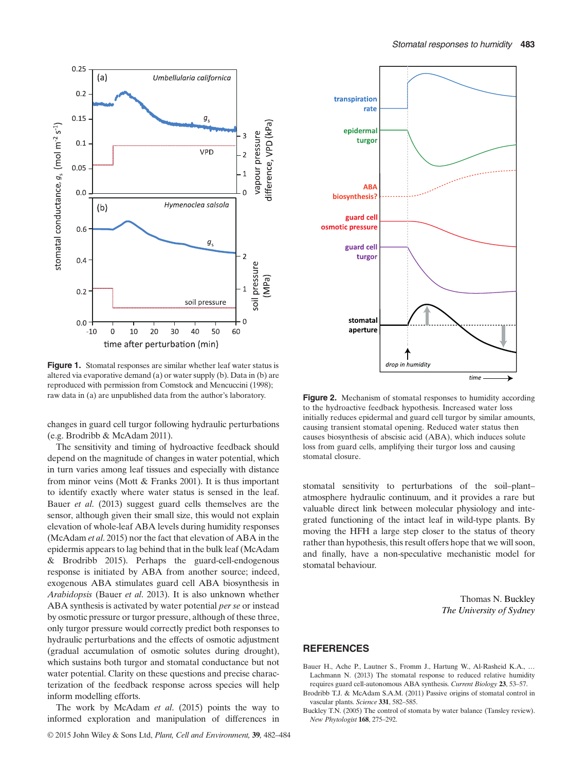

Figure 1. Stomatal responses are similar whether leaf water status is altered via evaporative demand (a) or water supply (b). Data in (b) are reproduced with permission from Comstock and Mencuccini (1998); raw data in (a) are unpublished data from the author's laboratory.

changes in guard cell turgor following hydraulic perturbations (e.g. Brodribb & McAdam 2011).

The sensitivity and timing of hydroactive feedback should depend on the magnitude of changes in water potential, which in turn varies among leaf tissues and especially with distance from minor veins (Mott & Franks 2001). It is thus important to identify exactly where water status is sensed in the leaf. Bauer et al. (2013) suggest guard cells themselves are the sensor, although given their small size, this would not explain elevation of whole-leaf ABA levels during humidity responses (McAdam et al. 2015) nor the fact that elevation of ABA in the epidermis appears to lag behind that in the bulk leaf (McAdam & Brodribb 2015). Perhaps the guard-cell-endogenous response is initiated by ABA from another source; indeed, exogenous ABA stimulates guard cell ABA biosynthesis in Arabidopsis (Bauer et al. 2013). It is also unknown whether ABA synthesis is activated by water potential per se or instead by osmotic pressure or turgor pressure, although of these three, only turgor pressure would correctly predict both responses to hydraulic perturbations and the effects of osmotic adjustment (gradual accumulation of osmotic solutes during drought), which sustains both turgor and stomatal conductance but not water potential. Clarity on these questions and precise characterization of the feedback response across species will help inform modelling efforts.

The work by McAdam et al. (2015) points the way to informed exploration and manipulation of differences in



Figure 2. Mechanism of stomatal responses to humidity according to the hydroactive feedback hypothesis. Increased water loss initially reduces epidermal and guard cell turgor by similar amounts, causing transient stomatal opening. Reduced water status then causes biosynthesis of abscisic acid (ABA), which induces solute loss from guard cells, amplifying their turgor loss and causing stomatal closure.

stomatal sensitivity to perturbations of the soil–plant– atmosphere hydraulic continuum, and it provides a rare but valuable direct link between molecular physiology and integrated functioning of the intact leaf in wild-type plants. By moving the HFH a large step closer to the status of theory rather than hypothesis, this result offers hope that we will soon, and finally, have a non-speculative mechanistic model for stomatal behaviour.

> Thomas N. Buckley The University of Sydney

### **REFERENCES**

- Bauer H., Ache P., Lautner S., Fromm J., Hartung W., Al-Rasheid K.A., … Lachmann N. (2013) The stomatal response to reduced relative humidity requires guard cell-autonomous ABA synthesis. Current Biology 23, 53–57.
- Brodribb T.J. & McAdam S.A.M. (2011) Passive origins of stomatal control in vascular plants. Science 331, 582–585.
- Buckley T.N. (2005) The control of stomata by water balance (Tansley review). New Phytologist 168, 275–292.